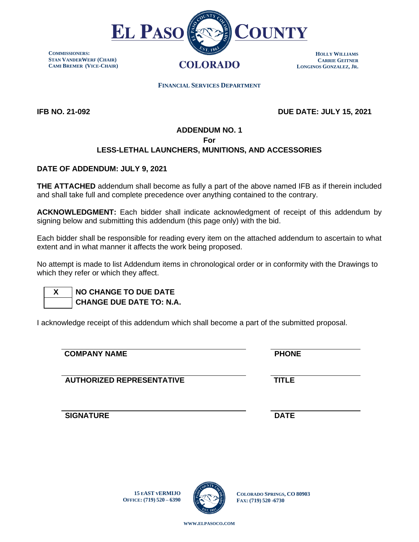

**COMMISSIONERS: STAN VANDERWERF (CHAIR) CAMI BREMER (VICE-CHAIR)**

**HOLLY WILLIAMS CARRIE GEITNER LONGINOS GONZALEZ, JR.**

 **FINANCIAL SERVICES DEPARTMENT**

**IFB NO. 21-092 DUE DATE: JULY 15, 2021**

# **ADDENDUM NO. 1 For**

## **LESS-LETHAL LAUNCHERS, MUNITIONS, AND ACCESSORIES**

### **DATE OF ADDENDUM: JULY 9, 2021**

**THE ATTACHED** addendum shall become as fully a part of the above named IFB as if therein included and shall take full and complete precedence over anything contained to the contrary.

**ACKNOWLEDGMENT:** Each bidder shall indicate acknowledgment of receipt of this addendum by signing below and submitting this addendum (this page only) with the bid.

Each bidder shall be responsible for reading every item on the attached addendum to ascertain to what extent and in what manner it affects the work being proposed.

No attempt is made to list Addendum items in chronological order or in conformity with the Drawings to which they refer or which they affect.

# **X NO CHANGE TO DUE DATE CHANGE DUE DATE TO: N.A.**

I acknowledge receipt of this addendum which shall become a part of the submitted proposal.

### **COMPANY NAME PHONE**

**AUTHORIZED REPRESENTATIVE TITLE**

**SIGNATURE** DATE

**15 EAST VERMIJO OFFICE: (719) 520 – 6390**



**COLORADO SPRINGS, CO 80903 FAX: (719) 520 -6730**

**WWW.[ELPASOCO](file:///C:/Users/pcdfields/AppData/Local/Microsoft/Windows/INetCache/Content.Outlook/OA1LDP44/www.elpasoco.com).COM**